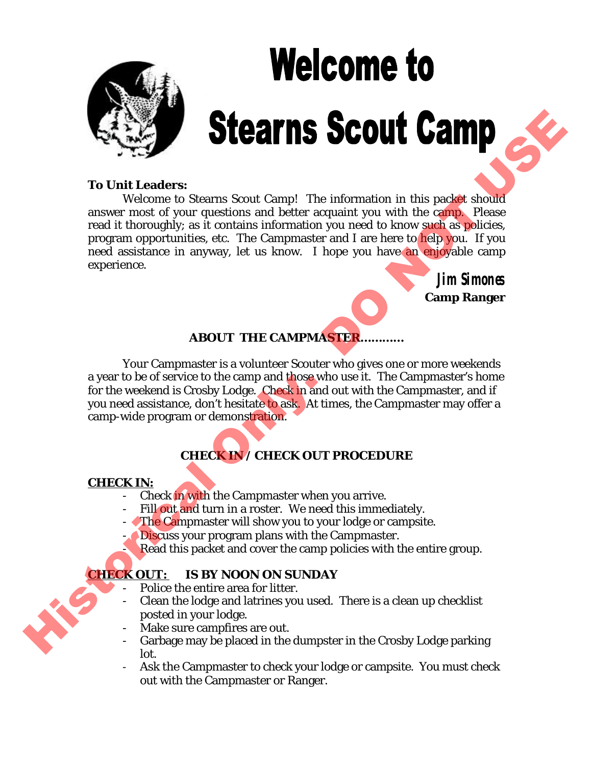# **Welcome to**

### **To Unit Leaders:**

Welcome to Stearns Scout Camp! The information in this packet should answer most of your questions and better acquaint you with the camp. Please read it thoroughly; as it contains information you need to know such as policies, program opportunities, etc. The Campmaster and I are here to help you. If you need assistance in anyway, let us know. I hope you have an enjoyable camp experience. To Unit Leaders:<br>
We consider the main of the momenton in this packet should<br>
we consider the stress of the consensus and better acquinity on with the carb should<br>
mean it throughly set it consider a consensus of the conse

**Jim Simones Camp Ranger**

# **ABOUT THE CAMPMASTER…………**

Your Campmaster is a volunteer Scouter who gives one or more weekends a year to be of service to the camp and those who use it. The Campmaster's home for the weekend is Crosby Lodge. Check in and out with the Campmaster, and if you need assistance, don't hesitate to ask. At times, the Campmaster may offer a camp-wide program or demonstration.

# **CHECK IN / CHECK OUT PROCEDURE**

# **CHECK IN:**

- Check in with the Campmaster when you arrive.
- Fill out and turn in a roster. We need this immediately.
- The Campmaster will show you to your lodge or campsite.
- Discuss your program plans with the Campmaster.
	- Read this packet and cover the camp policies with the entire group.

# **HECK OUT: IS BY NOON ON SUNDAY**

- Police the entire area for litter.
- Clean the lodge and latrines you used. There is a clean up checklist posted in your lodge.
- Make sure campfires are out.
- Garbage may be placed in the dumpster in the Crosby Lodge parking lot.
- Ask the Campmaster to check your lodge or campsite. You must check out with the Campmaster or Ranger.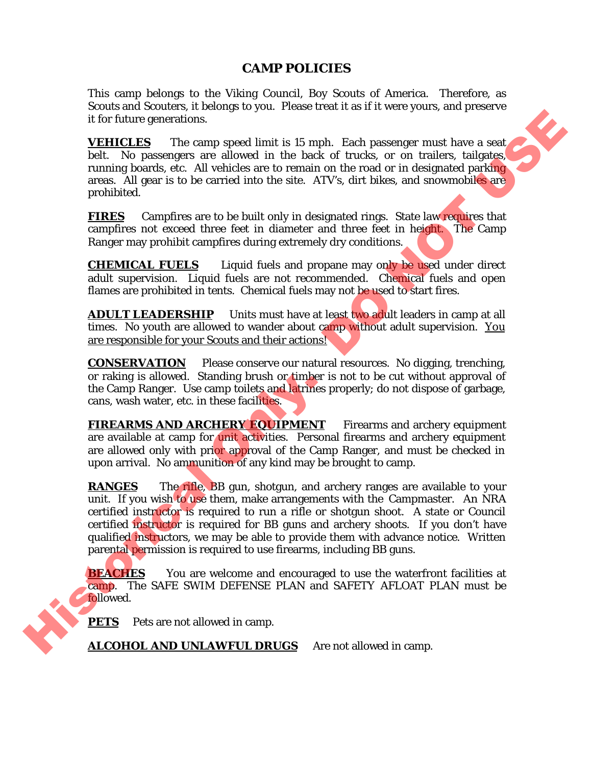## **CAMP POLICIES**

This camp belongs to the Viking Council, Boy Scouts of America. Therefore, as Scouts and Scouters, it belongs to you. Please treat it as if it were yours, and preserve it for future generations.

**VEHICLES** The camp speed limit is 15 mph. Each passenger must have a seat belt. No passengers are allowed in the back of trucks, or on trailers, tailgates, running boards, etc. All vehicles are to remain on the road or in designated parking areas. All gear is to be carried into the site. ATV's, dirt bikes, and snowmobiles are prohibited. many to you. These effects in the start were youts, that preserve<br>the allowed in the back of trucks, or on trailers, tailgates, vehicles are to remain on the road or in designated particular<br>carried into the site. ATV's, d

**FIRES** Campfires are to be built only in designated rings. State law requires that campfires not exceed three feet in diameter and three feet in height. The Camp Ranger may prohibit campfires during extremely dry conditions.

**CHEMICAL FUELS** Liquid fuels and propane may only be used under direct adult supervision. Liquid fuels are not recommended. Chemical fuels and open flames are prohibited in tents. Chemical fuels may not be used to start fires.

**ADULT LEADERSHIP** Units must have at least two adult leaders in camp at all times. No youth are allowed to wander about camp without adult supervision. You are responsible for your Scouts and their actions!

**CONSERVATION** Please conserve our natural resources. No digging, trenching, or raking is allowed. Standing brush or timber is not to be cut without approval of the Camp Ranger. Use camp toilets and latrines properly; do not dispose of garbage, cans, wash water, etc. in these facilities.

**FIREARMS AND ARCHERY EQUIPMENT** Firearms and archery equipment are available at camp for unit activities. Personal firearms and archery equipment are allowed only with prior approval of the Camp Ranger, and must be checked in upon arrival. No ammunition of any kind may be brought to camp.

**RANGES** The rifle, BB gun, shotgun, and archery ranges are available to your unit. If you wish to use them, make arrangements with the Campmaster. An NRA certified instructor is required to run a rifle or shotgun shoot. A state or Council certified instructor is required for BB guns and archery shoots. If you don't have qualified instructors, we may be able to provide them with advance notice. Written parental permission is required to use firearms, including BB guns. upon arrival. No ammunition<br>
RANGES The rifle, BB g<br>
unit. If you wish to use them<br>
certified instructor is require<br>
certified instructor is require<br>
qualified instructors, we may<br>
parental permission is require<br> **BEACHES** 

**BEACHES** You are welcome and encouraged to use the waterfront facilities at camp. The SAFE SWIM DEFENSE PLAN and SAFETY AFLOAT PLAN must be followed.

**PETS** Pets are not allowed in camp.

ALCOHOL AND UNLAWFUL DRUGS Are not allowed in camp.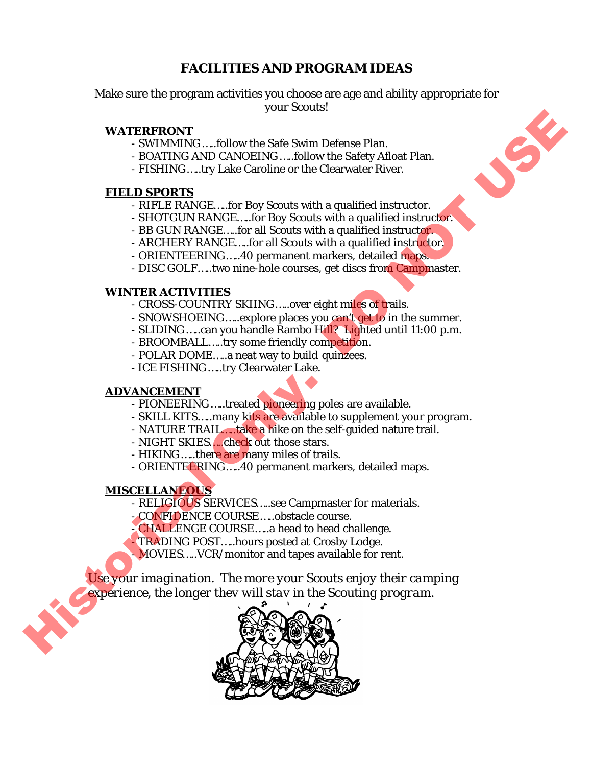# **FACILITIES AND PROGRAM IDEAS**

Make sure the program activities you choose are age and ability appropriate for your Scouts!

### **WATERFRONT**

- SWIMMING …..follow the Safe Swim Defense Plan.
- BOATING AND CANOEING …..follow the Safety Afloat Plan.
- FISHING…..try Lake Caroline or the Clearwater River.

### **FIELD SPORTS**

- RIFLE RANGE…..for Boy Scouts with a qualified instructor.
- SHOTGUN RANGE…..for Boy Scouts with a qualified instructor.
- BB GUN RANGE…..for all Scouts with a qualified instructor.
- ARCHERY RANGE…..for all Scouts with a qualified instructor.
- ORIENTEERING…..40 permanent markers, detailed maps.
- DISC GOLF.....two nine-hole courses, get discs from Campmaster.

### **WINTER ACTIVITIES**

- CROSS-COUNTRY SKIING.....over eight miles of trails.
- SNOWSHOEING.....explore places you can't get to in the summer.
- SLIDING …..can you handle Rambo Hill? Lighted until 11:00 p.m.
- BROOMBALL…..try some friendly competition.
- POLAR DOME…..a neat way to build quinzees.
- ICE FISHING …..try Clearwater Lake.

### **ADVANCEMENT**

- PIONEERING .....treated pioneering poles are available.
- SKILL KITS.....many kits are available to supplement your program.
- NATURE TRAIL.....take a hike on the self-guided nature trail.
- NIGHT SKIES…..check out those stars.
- HIKING .....there are many miles of trails.
- ORIENTEERING.....40 permanent markers, detailed maps.

### **MISCELLANEOUS**

- RELIGIOUS SERVICES.....see Campmaster for materials.
- CONFIDENCE COURSE…..obstacle course.
- CHALLENGE COURSE…..a head to head challenge.
- TRADING POST.....hours posted at Crosby Lodge.
- MOVIES…..VCR/monitor and tapes available for rent.

*Use your imagination. The more your Scouts enjoy their camping experience, the longer they will stay in the Scouting program.* Historical Only. DO NOT USE



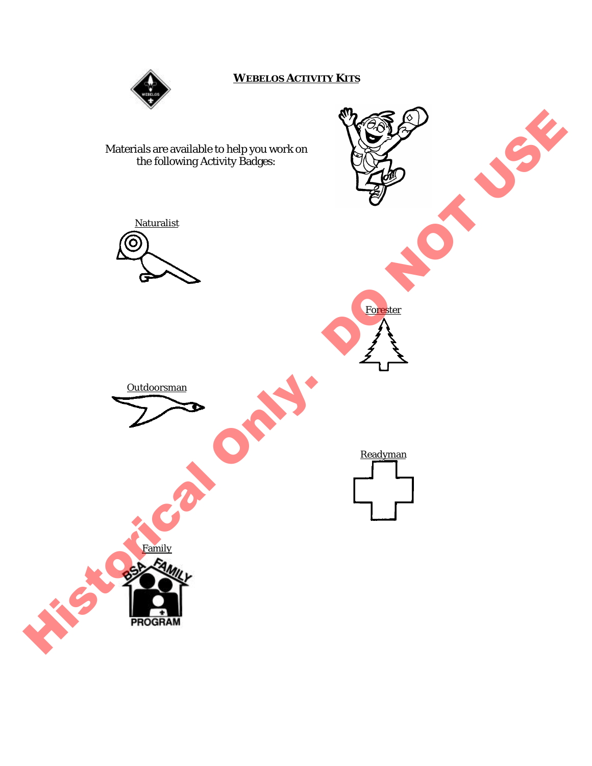

### **WEBELOS ACTIVITY KITS**

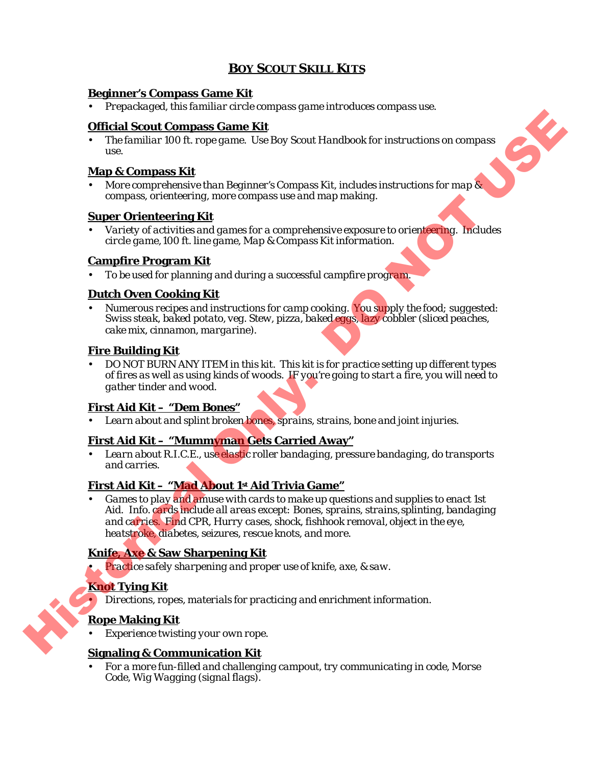# **BOY SCOUT SKILL KITS**

### **Beginner's Compass Game Kit**

• *Prepackaged, this familiar circle compass game introduces compass use.*

### **Official Scout Compass Game Kit**

• *The familiar 100 ft. rope game. Use Boy Scout Handbook for instructions on compass use.*

### **Map & Compass Kit**

• *More comprehensive than Beginner's Compass Kit, includes instructions for map & compass, orienteering, more compass use and map making.*

### **Super Orienteering Kit**

• *Variety of activities and games for a comprehensive exposure to orienteering. Includes circle game, 100 ft. line game, Map & Compass Kit information.*

### **Campfire Program Kit**

• *To be used for planning and during a successful campfire program.*

### **Dutch Oven Cooking Kit**

• *Numerous recipes and instructions for camp cooking. You supply the food; suggested: Swiss steak, baked potato, veg. Stew, pizza, baked eggs, lazy cobbler (sliced peaches, cake mix, cinnamon, margarine).*

### **Fire Building Kit**

• *DO NOT BURN ANY ITEM in this kit. This kit is for practice setting up different types of fires as well as using kinds of woods. IF you're going to start a fire, you will need to gather tinder and wood.*

### **First Aid Kit – "Dem Bones"**

• *Learn about and splint broken bones, sprains, strains, bone and joint injuries.*

### **First Aid Kit – "Mummyman Gets Carried Away"**

• *Learn about R.I.C.E., use elastic roller bandaging, pressure bandaging, do transports and carries.*

### **First Aid Kit – "Mad About 1st Aid Trivia Game"**

• *Games to play and amuse with cards to make up questions and supplies to enact 1st Aid. Info. cards include all areas except: Bones, sprains, strains, splinting, bandaging and carries. Find CPR, Hurry cases, shock, fishhook removal, object in the eye, heatstroke, diabetes, seizures, rescue knots, and more.* **CHECK CONSULTER AND ACTES AND ACTES AND ACTES AND ACTES AND ACTES (EVERY ACTES AND SCONT Handbook for instructions on compare the the Map & Compare Score (Every Preservation Control of the Compare Constructions (are Chem** 

### **Knife, Axe & Saw Sharpening Kit**

• *Practice safely sharpening and proper use of knife, axe, & saw.*

### **Knot Tying Kit**

• *Directions, ropes, materials for practicing and enrichment information.*

### **Rope Making Kit**

• *Experience twisting your own rope.*

### **Signaling & Communication Kit**

• *For a more fun-filled and challenging campout, try communicating in code, Morse Code, Wig Wagging (signal flags).*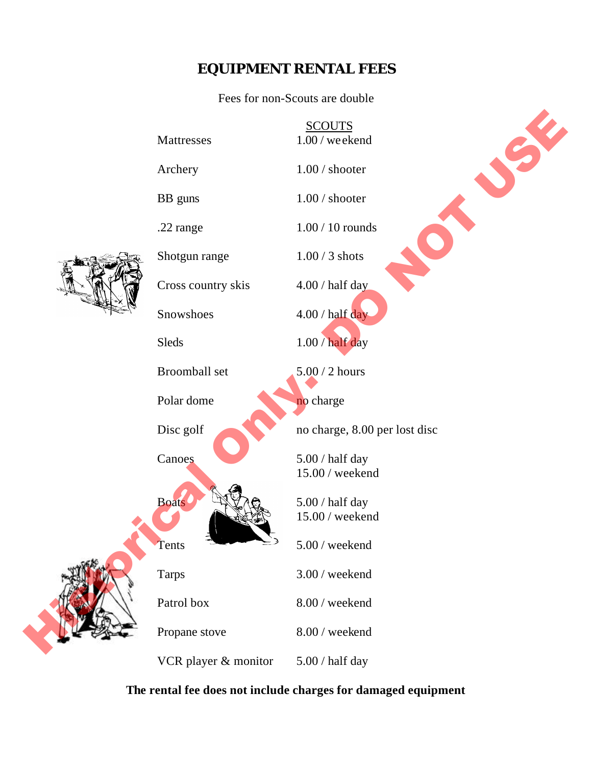# **EQUIPMENT RENTAL FEES**

Fees for non-Scouts are double

SCOUTS

Mattresses 1.00 / weekend



Archery 1.00 / shooter BB guns 1.00 / shooter .22 range 1.00 / 10 rounds Shotgun range 1.00 / 3 shots Cross country skis 4.00 / half day Snowshoes 4.00 / half day Sleds 1.00 / half day Broomball set 5.00 / 2 hours Polar dome Disc golf no charge, 8.00 per lost disc Canoes 5.00 / half day 15.00 / weekend Boats  $\bigcup_{x} \bigotimes_{x} \bigotimes_{x} \bigotimes_{x} (x)$  5.00 / half day 15.00 / weekend Tents  $5.00$  / weekend Tarps 3.00 / weekend Patrol box 8.00 / weekend Propane stove 8.00 / weekend VCR player  $&$  monitor  $5.00 / \text{half day}$ Mattresses<br>
Archery<br>
Archery<br>
Big gums<br>
Dio / shooter<br>
Dio / Shooter<br>
2.2 range<br>
Shotgum range<br>
Cross country skis<br>
Showshoes<br>
Skeds<br>
Brownhall set<br>
Dio / Durant day<br>
Skeds<br>
Dio / 2 hours<br>
Dio / Normal day<br>
Dio / Not day<br>



### **The rental fee does not include charges for damaged equipment**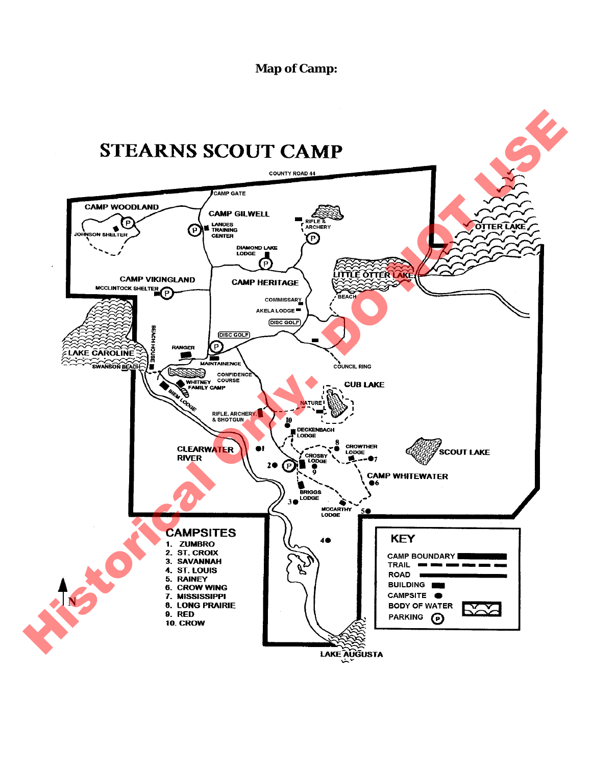**Map of Camp:**